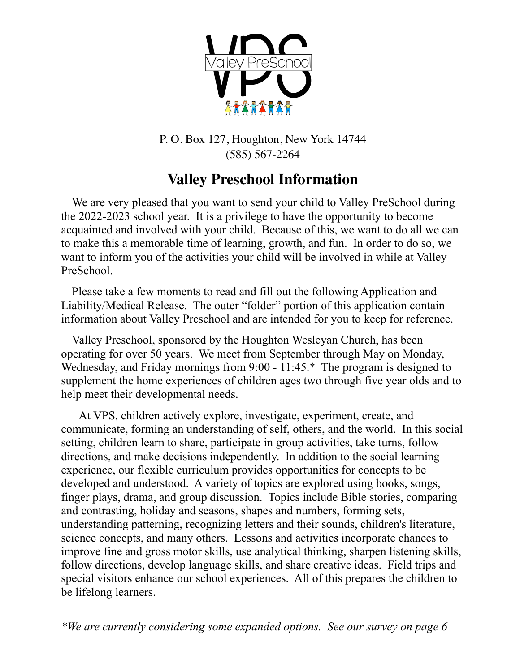

P. O. Box 127, Houghton, New York 14744 (585) 567-2264

# **Valley Preschool Information**

We are very pleased that you want to send your child to Valley PreSchool during the 2022-2023 school year. It is a privilege to have the opportunity to become acquainted and involved with your child. Because of this, we want to do all we can to make this a memorable time of learning, growth, and fun. In order to do so, we want to inform you of the activities your child will be involved in while at Valley PreSchool.

 Please take a few moments to read and fill out the following Application and Liability/Medical Release. The outer "folder" portion of this application contain information about Valley Preschool and are intended for you to keep for reference.

Valley Preschool, sponsored by the Houghton Wesleyan Church, has been operating for over 50 years. We meet from September through May on Monday, Wednesday, and Friday mornings from 9:00 - 11:45.\* The program is designed to supplement the home experiences of children ages two through five year olds and to help meet their developmental needs.

 At VPS, children actively explore, investigate, experiment, create, and communicate, forming an understanding of self, others, and the world. In this social setting, children learn to share, participate in group activities, take turns, follow directions, and make decisions independently. In addition to the social learning experience, our flexible curriculum provides opportunities for concepts to be developed and understood. A variety of topics are explored using books, songs, finger plays, drama, and group discussion. Topics include Bible stories, comparing and contrasting, holiday and seasons, shapes and numbers, forming sets, understanding patterning, recognizing letters and their sounds, children's literature, science concepts, and many others. Lessons and activities incorporate chances to improve fine and gross motor skills, use analytical thinking, sharpen listening skills, follow directions, develop language skills, and share creative ideas. Field trips and special visitors enhance our school experiences. All of this prepares the children to be lifelong learners.

*\*We are currently considering some expanded options. See our survey on page 6*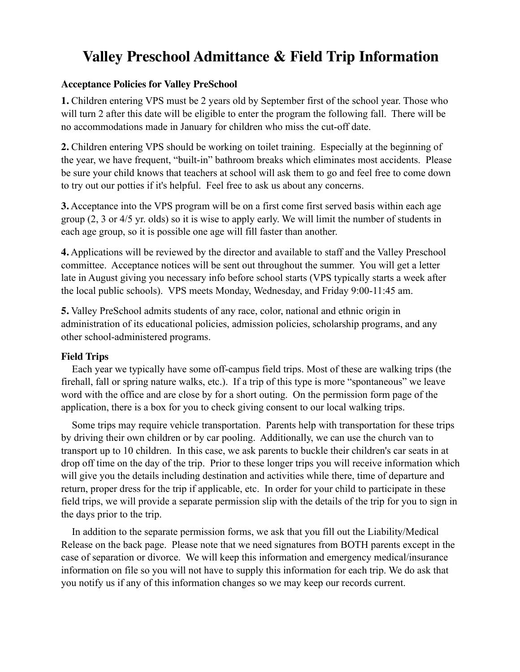### **Valley Preschool Admittance & Field Trip Information**

#### **Acceptance Policies for Valley PreSchool**

**1.** Children entering VPS must be 2 years old by September first of the school year. Those who will turn 2 after this date will be eligible to enter the program the following fall. There will be no accommodations made in January for children who miss the cut-off date.

**2.** Children entering VPS should be working on toilet training. Especially at the beginning of the year, we have frequent, "built-in" bathroom breaks which eliminates most accidents. Please be sure your child knows that teachers at school will ask them to go and feel free to come down to try out our potties if it's helpful. Feel free to ask us about any concerns.

**3.** Acceptance into the VPS program will be on a first come first served basis within each age group (2, 3 or 4/5 yr. olds) so it is wise to apply early. We will limit the number of students in each age group, so it is possible one age will fill faster than another.

**4.** Applications will be reviewed by the director and available to staff and the Valley Preschool committee. Acceptance notices will be sent out throughout the summer. You will get a letter late in August giving you necessary info before school starts (VPS typically starts a week after the local public schools). VPS meets Monday, Wednesday, and Friday 9:00-11:45 am.

**5.** Valley PreSchool admits students of any race, color, national and ethnic origin in administration of its educational policies, admission policies, scholarship programs, and any other school-administered programs.

### **Field Trips**

 Each year we typically have some off-campus field trips. Most of these are walking trips (the firehall, fall or spring nature walks, etc.). If a trip of this type is more "spontaneous" we leave word with the office and are close by for a short outing. On the permission form page of the application, there is a box for you to check giving consent to our local walking trips.

 Some trips may require vehicle transportation. Parents help with transportation for these trips by driving their own children or by car pooling. Additionally, we can use the church van to transport up to 10 children. In this case, we ask parents to buckle their children's car seats in at drop off time on the day of the trip. Prior to these longer trips you will receive information which will give you the details including destination and activities while there, time of departure and return, proper dress for the trip if applicable, etc. In order for your child to participate in these field trips, we will provide a separate permission slip with the details of the trip for you to sign in the days prior to the trip.

 In addition to the separate permission forms, we ask that you fill out the Liability/Medical Release on the back page. Please note that we need signatures from BOTH parents except in the case of separation or divorce. We will keep this information and emergency medical/insurance information on file so you will not have to supply this information for each trip. We do ask that you notify us if any of this information changes so we may keep our records current.